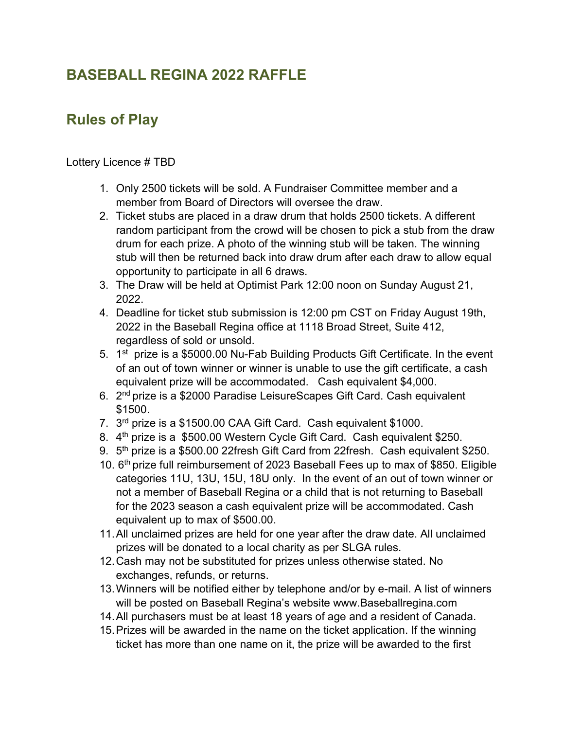## BASEBALL REGINA 2022 RAFFLE

## Rules of Play

Lottery Licence # TBD

- 1. Only 2500 tickets will be sold. A Fundraiser Committee member and a member from Board of Directors will oversee the draw.
- 2. Ticket stubs are placed in a draw drum that holds 2500 tickets. A different random participant from the crowd will be chosen to pick a stub from the draw drum for each prize. A photo of the winning stub will be taken. The winning stub will then be returned back into draw drum after each draw to allow equal opportunity to participate in all 6 draws.
- 3. The Draw will be held at Optimist Park 12:00 noon on Sunday August 21, 2022.
- 4. Deadline for ticket stub submission is 12:00 pm CST on Friday August 19th, 2022 in the Baseball Regina office at 1118 Broad Street, Suite 412, regardless of sold or unsold.
- 5. 1<sup>st</sup> prize is a \$5000.00 Nu-Fab Building Products Gift Certificate. In the event of an out of town winner or winner is unable to use the gift certificate, a cash equivalent prize will be accommodated. Cash equivalent \$4,000.
- 6. 2nd prize is a \$2000 Paradise LeisureScapes Gift Card. Cash equivalent \$1500.
- 7. 3<sup>rd</sup> prize is a \$1500.00 CAA Gift Card. Cash equivalent \$1000.
- 8. 4<sup>th</sup> prize is a \$500.00 Western Cycle Gift Card. Cash equivalent \$250.
- 9. 5<sup>th</sup> prize is a \$500.00 22fresh Gift Card from 22fresh. Cash equivalent \$250.
- 10. 6<sup>th</sup> prize full reimbursement of 2023 Baseball Fees up to max of \$850. Eligible categories 11U, 13U, 15U, 18U only. In the event of an out of town winner or not a member of Baseball Regina or a child that is not returning to Baseball for the 2023 season a cash equivalent prize will be accommodated. Cash equivalent up to max of \$500.00.
- 11. All unclaimed prizes are held for one year after the draw date. All unclaimed prizes will be donated to a local charity as per SLGA rules.
- 12. Cash may not be substituted for prizes unless otherwise stated. No exchanges, refunds, or returns.
- 13. Winners will be notified either by telephone and/or by e-mail. A list of winners will be posted on Baseball Regina's website www.Baseballregina.com
- 14. All purchasers must be at least 18 years of age and a resident of Canada.
- 15. Prizes will be awarded in the name on the ticket application. If the winning ticket has more than one name on it, the prize will be awarded to the first